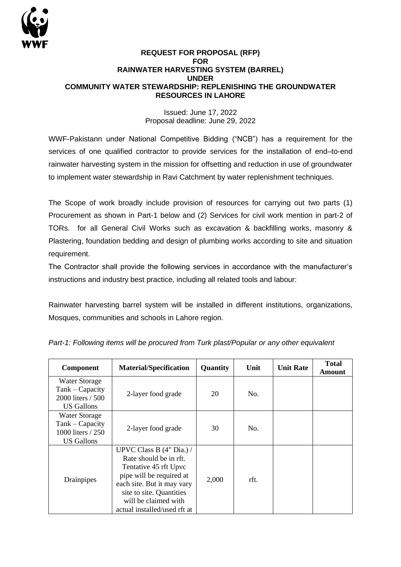

## **REQUEST FOR PROPOSAL (RFP) FOR RAINWATER HARVESTING SYSTEM (BARREL) UNDER COMMUNITY WATER STEWARDSHIP: REPLENISHING THE GROUNDWATER RESOURCES IN LAHORE**

Issued: June 17, 2022 Proposal deadline: June 29, 2022

WWF-Pakistann under National Competitive Bidding ("NCB") has a requirement for the services of one qualified contractor to provide services for the installation of end–to-end rainwater harvesting system in the mission for offsetting and reduction in use of groundwater to implement water stewardship in Ravi Catchment by water replenishment techniques.

The Scope of work broadly include provision of resources for carrying out two parts (1) Procurement as shown in Part-1 below and (2) Services for civil work mention in part-2 of TORs. for all General Civil Works such as excavation & backfilling works, masonry & Plastering, foundation bedding and design of plumbing works according to site and situation requirement.

The Contractor shall provide the following services in accordance with the manufacturer's instructions and industry best practice, including all related tools and labour:

Rainwater harvesting barrel system will be installed in different institutions, organizations, Mosques, communities and schools in Lahore region.

| Component                                                                         | <b>Material/Specification</b>                                                                                                                                                                                               | Quantity | Unit | <b>Unit Rate</b> | <b>Total</b><br>Amount |
|-----------------------------------------------------------------------------------|-----------------------------------------------------------------------------------------------------------------------------------------------------------------------------------------------------------------------------|----------|------|------------------|------------------------|
| <b>Water Storage</b><br>$Tank - Capacity$<br>2000 liters / 500<br>US Gallons      | 2-layer food grade                                                                                                                                                                                                          | 20       | No.  |                  |                        |
| <b>Water Storage</b><br>Tank - Capacity<br>1000 liters / 250<br><b>US</b> Gallons | 2-layer food grade                                                                                                                                                                                                          | 30       | No.  |                  |                        |
| Drainpipes                                                                        | UPVC Class B $(4"$ Dia.) /<br>Rate should be in rft.<br>Tentative 45 rft Upvc<br>pipe will be required at<br>each site. But it may vary<br>site to site. Quantities<br>will be claimed with<br>actual installed/used rft at | 2,000    | rft. |                  |                        |

| Part-1: Following items will be procured from Turk plast/Popular or any other equivalent |  |  |  |
|------------------------------------------------------------------------------------------|--|--|--|
|                                                                                          |  |  |  |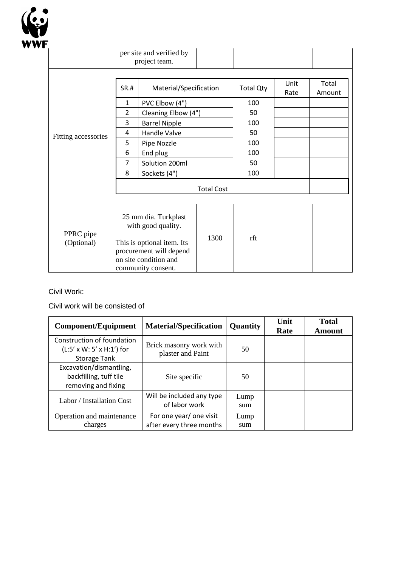

|                         | per site and verified by<br>project team.                                                                                                          |                        |      |                  |              |                 |
|-------------------------|----------------------------------------------------------------------------------------------------------------------------------------------------|------------------------|------|------------------|--------------|-----------------|
| Fitting accessories     | SR.#                                                                                                                                               | Material/Specification |      | <b>Total Qty</b> | Unit<br>Rate | Total<br>Amount |
|                         | $\mathbf{1}$                                                                                                                                       | PVC Elbow (4")         |      | 100              |              |                 |
|                         | $\overline{2}$                                                                                                                                     | Cleaning Elbow (4")    |      | 50               |              |                 |
|                         | 3                                                                                                                                                  | <b>Barrel Nipple</b>   |      | 100              |              |                 |
|                         | 4                                                                                                                                                  | Handle Valve           |      | 50               |              |                 |
|                         | 5                                                                                                                                                  | Pipe Nozzle            |      | 100              |              |                 |
|                         | 6                                                                                                                                                  | End plug               |      | 100              |              |                 |
|                         | $\overline{7}$                                                                                                                                     | Solution 200ml         |      | 50               |              |                 |
|                         | 8                                                                                                                                                  | Sockets (4")           |      | 100              |              |                 |
|                         | <b>Total Cost</b>                                                                                                                                  |                        |      |                  |              |                 |
| PPRC pipe<br>(Optional) | 25 mm dia. Turkplast<br>with good quality.<br>This is optional item. Its<br>procurement will depend<br>on site condition and<br>community consent. |                        | 1300 | rft              |              |                 |

## Civil Work:

Civil work will be consisted of

| <b>Component/Equipment</b>                                                                 | <b>Material/Specification</b>                       | <b>Quantity</b> | Unit<br>Rate | <b>Total</b><br>Amount |
|--------------------------------------------------------------------------------------------|-----------------------------------------------------|-----------------|--------------|------------------------|
| Construction of foundation<br>$(L:5' \times W: 5' \times H:1')$ for<br><b>Storage Tank</b> | Brick masonry work with<br>plaster and Paint        | 50              |              |                        |
| Excavation/dismantling,<br>backfilling, tuff tile<br>removing and fixing                   | Site specific                                       | 50              |              |                        |
| Labor / Installation Cost                                                                  | Will be included any type<br>of labor work          | Lump<br>sum     |              |                        |
| Operation and maintenance<br>charges                                                       | For one year/ one visit<br>after every three months | Lump<br>sum     |              |                        |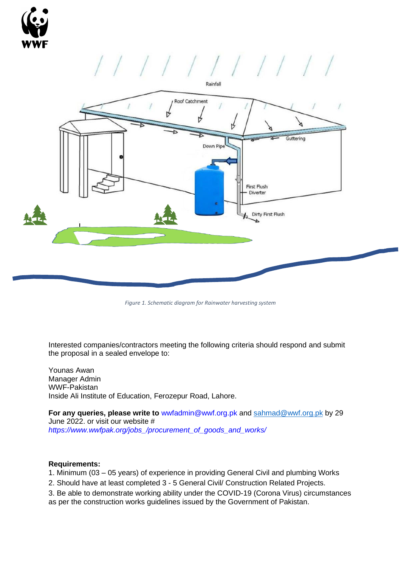

## ////////////



*Figure 1. Schematic diagram for Rainwater harvesting system*

Interested companies/contractors meeting the following criteria should respond and submit the proposal in a sealed envelope to:

Younas Awan Manager Admin WWF-Pakistan Inside Ali Institute of Education, Ferozepur Road, Lahore.

**For any queries, please write to** wwfadmin@wwf.org.pk and [sahmad@wwf.org.pk](mailto:sahmad@wwf.org.pk) by 29 June 2022. or visit our website # *https://www.wwfpak.org/jobs\_/procurement\_of\_goods\_and\_works/* 

## **Requirements:**

- 1. Minimum (03 05 years) of experience in providing General Civil and plumbing Works
- 2. Should have at least completed 3 5 General Civil/ Construction Related Projects.
- 3. Be able to demonstrate working ability under the COVID-19 (Corona Virus) circumstances as per the construction works guidelines issued by the Government of Pakistan.